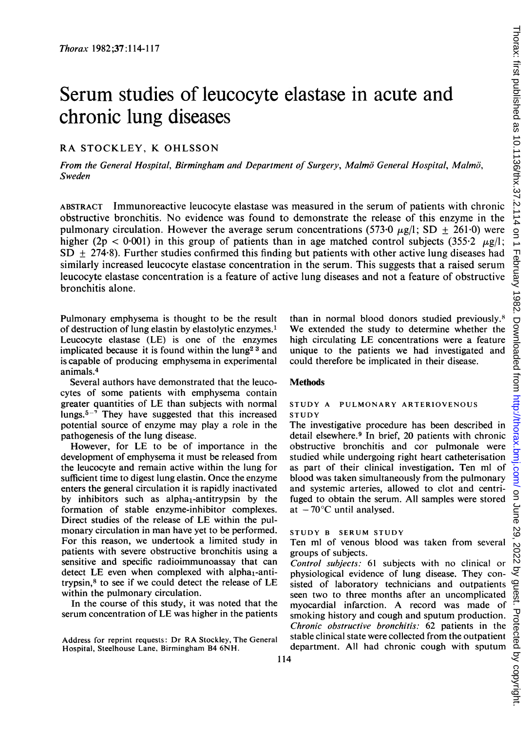# Serum studies of leucocyte elastase in acute and chronic lung diseases

# RA STOCKLEY, K OHLSSON

From the General Hospital, Birmingham and Department of Surgery, Malmö General Hospital, Malmö, Sweden

ABSTRACT Immunoreactive leucocyte elastase was measured in the serum of patients with chronic obstructive bronchitis. No evidence was found to demonstrate the release of this enzyme in the pulmonary circulation. However the average serum concentrations (573.0  $\mu$ g/l; SD + 261.0) were higher (2p < 0.001) in this group of patients than in age matched control subjects (355.2  $\mu$ g/l;  $SD + 274-8$ ). Further studies confirmed this finding but patients with other active lung diseases had similarly increased leucocyte elastase concentration in the serum. This suggests that a raised serum leucocyte elastase concentration is a feature of active lung diseases and not a feature of obstructive bronchitis alone.

Pulmonary emphysema is thought to be the result of destruction of lung elastin by elastolytic enzymes.1 Leucocyte elastase (LE) is one of the enzymes implicated because it is found within the lung2 <sup>3</sup> and is capable of producing emphysema in experimental animals.4

Several authors have demonstrated that the leucocytes of some patients with emphysema contain greater quantities of LE than subjects with normal lungs. $5^{-7}$  They have suggested that this increased potential source of enzyme may play a role in the pathogenesis of the lung disease.

However, for LE to be of importance in the development of emphysema it must be released from the leucocyte and remain active within the lung for sufficient time to digest lung elastin. Once the enzyme enters the general circulation it is rapidly inactivated by inhibitors such as alpha<sub>1</sub>-antitrypsin by the formation of stable enzyme-inhibitor complexes. Direct studies of the release of LE within the pulmonary circulation in man have yet to be performed. For this reason, we undertook a limited study in patients with severe obstructive bronchitis using a sensitive and specific radioimmunoassay that can detect LE even when complexed with alpha<sub>1</sub>-antitrypsin,8 to see if we could detect the release of LE within the pulmonary circulation.

In the course of this study, it was noted that the serum concentration of LE was higher in the patients than in normal blood donors studied previously.8 We extended the study to determine whether the high circulating LE concentrations were a feature unique to the patients we had investigated and could therefore be implicated in their disease.

#### **Methods**

#### STUDY A PULMONARY ARTERIOVENOUS STUDY

The investigative procedure has been described in detail elsewhere.9 In brief, 20 patients with chronic obstructive bronchitis and cor pulmonale were studied while undergoing right heart catheterisation as part of their clinical investigation. Ten ml of blood was taken simultaneously from the pulmonary and systemic arteries, allowed to clot and centrifuged to obtain the serum. All samples were stored at  $-70^{\circ}$ C until analysed.

#### STUDY B SERUM STUDY

Ten ml of venous blood was taken from several groups of subjects.

Control subjects: 61 subjects with no clinical or physiological evidence of lung disease. They consisted of laboratory technicians and outpatients seen two to three months after an uncomplicated myocardial infarction. A record was made of smoking history and cough and sputum production. Chronic obstructive bronchitis: 62 patients in the stable clinical state were collected from the outpatient department. All had chronic cough with sputum

Address for reprint requests: Dr RA Stockley, The General Hospital, Steelhouse Lane, Birmingham B4 6NH.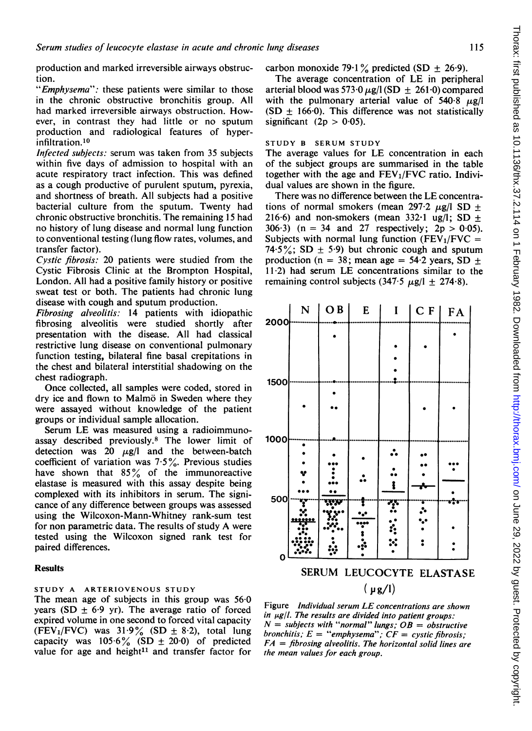production and marked irreversible airways obstruction.

"Emphysema": these patients were similar to those in the chronic obstructive bronchitis group. All had marked irreversible airways obstruction. However, in contrast they had little or no sputum production and radiological features of hyperinfiltration.<sup>10</sup>

Infected subjects: serum was taken from 35 subjects within five days of admission to hospital with an acute respiratory tract infection. This was defined as a cough productive of purulent sputum, pyrexia, and shortness of breath. All subjects had a positive bacterial culture from the sputum. Twenty had chronic obstructive bronchitis. The remaining 15 had no history of lung disease and normal lung function to conventional testing (lung flow rates, volumes, and transfer factor).

Cystic fibrosis: 20 patients were studied from the Cystic Fibrosis Clinic at the Brompton Hospital, London. All had a positive family history or positive sweat test or both. The patients had chronic lung disease with cough and sputum production.

Fibrosing alveolitis: 14 patients with idiopathic fibrosing alveolitis were studied shortly after presentation with the disease. All had classical restrictive lung disease on conventional pulmonary function testing, bilateral fine basal crepitations in the chest and bilateral interstitial shadowing on the chest radiograph.

Once collected, all samples were coded, stored in dry ice and flown to Malmö in Sweden where they were assayed without knowledge of the patient groups or individual sample allocation.

Serum LE was measured using a radioimmunoassay described previously.8 The lower limit of detection was 20  $\mu$ g/l and the between-batch coefficient of variation was  $7.5\%$ . Previous studies have shown that  $85\%$  of the immunoreactive elastase is measured with this assay despite being complexed with its inhibitors in serum. The signicance of any difference between groups was assessed using the Wilcoxon-Mann-Whitney rank-sum test for non parametric data. The results of study A were tested using the Wilcoxon signed rank test for paired differences.

#### Results

## STUDY A ARTERIOVENOUS STUDY

The mean age of subjects in this group was  $56.0$ years (SD  $\pm$  6.9 yr). The average ratio of forced expired volume in one second to forced vital capacity (FEV<sub>1</sub>/FVC) was  $31.9\%$  (SD  $\pm$  8.2), total lung capacity was  $105.6\%$  (SD  $\pm$  20.0) of predicted value for age and height $11$  and transfer factor for carbon monoxide 79.1% predicted (SD  $\pm$  26.9).

The average concentration of LE in peripheral arterial blood was 573.0  $\mu$ g/l (SD  $\pm$  261.0) compared with the pulmonary arterial value of  $540.8 \mu g/l$  $(SD \pm 166.0)$ . This difference was not statistically significant (2p  $> 0.05$ ).

# STUDY B SERUM STUDY

The average values for LE concentration in each of the subject groups are summarised in the table together with the age and  $FEV<sub>1</sub>/FVC$  ratio. Individual values are shown in the figure.

There was no difference between the LE concentrations of normal smokers (mean 297.2  $\mu$ g/l SD + 216.6) and non-smokers (mean  $332 \cdot 1$  ug/l; SD + 306.3) (n = 34 and 27 respectively;  $2p > 0.05$ ). Subjects with normal lung function ( $FEV<sub>1</sub>/FVC$  = 74.5%; SD  $\pm$  5.9) but chronic cough and sputum production (n = 38; mean age =  $54.2$  years, SD +  $11.2$ ) had serum LE concentrations similar to the remaining control subjects (347.5  $\mu$ g/l  $\pm$  274.8).

| 2000 | N | O <sub>B</sub> | ${\bf E}$ | I              | C F | ${\bf FA}$ |
|------|---|----------------|-----------|----------------|-----|------------|
|      |   |                |           |                |     |            |
|      |   |                |           |                |     |            |
| 1500 |   |                |           |                |     |            |
|      |   |                |           |                |     |            |
|      |   |                |           |                |     |            |
| 1000 |   |                |           |                |     |            |
|      |   |                |           |                |     |            |
|      |   |                |           |                |     |            |
|      |   |                |           |                |     |            |
|      |   |                |           |                |     |            |
| 500  |   |                |           |                |     |            |
|      |   |                |           |                |     |            |
| O    |   |                |           | $\ddot{\cdot}$ |     |            |

 $(\mu g/l)$ 

Figure Individual serum LE concentrations are shown in  $\mu$ g/l. The results are divided into patient groups:  $N =$  subjects with "normal" lungs;  $OB =$  obstructive bronchitis;  $E = "emphysema";$   $CF = cystic fibrosis;$  $FA = fibrosine alveolitis.$  The horizontal solid lines are the mean values for each group.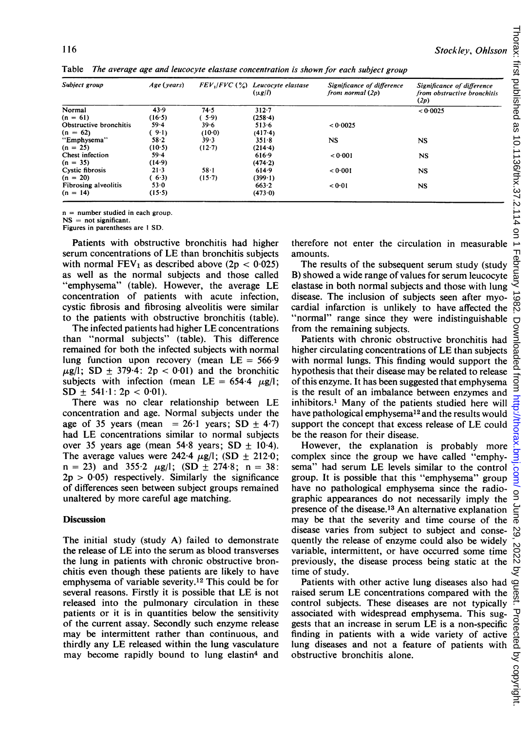| Subject group          | Age (years) |        | FEV JFVC (%) Leucocyte elastase<br>$(\mu g/l)$ | Significance of difference<br>from normal $(2p)$ | Significance of difference<br>from obstructive bronchitis<br>(2p) |
|------------------------|-------------|--------|------------------------------------------------|--------------------------------------------------|-------------------------------------------------------------------|
| Normal                 | 43.9        | 74.5   | $312 - 7$                                      |                                                  | < 0.0025                                                          |
| $(n = 61)$             | (16.5)      | (.5.9) | (258.4)                                        |                                                  |                                                                   |
| Obstructive bronchitis | $59 - 4$    | 39.6   | 513.6                                          | < 0.0025                                         |                                                                   |
| $(n = 62)$             | (9.1)       | (10.0) | (417.4)                                        |                                                  |                                                                   |
| "Emphysema"            | $58-2$      | 39.3   | $351 - 8$                                      | <b>NS</b>                                        | <b>NS</b>                                                         |
| $(n = 25)$             | (10.5)      | (12.7) | (214.4)                                        |                                                  |                                                                   |
| Chest infection        | $59 - 4$    |        | 616.9                                          | < 0.001                                          | <b>NS</b>                                                         |
| $(n = 35)$             | (14.9)      |        | (474.2)                                        |                                                  |                                                                   |
| <b>Cystic fibrosis</b> | $21-3$      | $58-1$ | 614.9                                          | < 0.001                                          | <b>NS</b>                                                         |
| $(n = 20)$             | (6.3)       | (15.7) | (399.1)                                        |                                                  |                                                                   |
| Fibrosing alveolitis   | 53.0        |        | 663.2                                          | < 0.01                                           | <b>NS</b>                                                         |
| $(n = 14)$             | (15.5)      |        | (473.0)                                        |                                                  |                                                                   |

Table The average age and leucocyte elastase concentration is shown for each subject group

 $n =$  number studied in each group.

 $NS = not significant$ .

Figures in parentheses are <sup>I</sup> SD.

Patients with obstructive bronchitis had higher serum concentrations of LE than bronchitis subjects with normal  $FEV_1$  as described above (2p < 0.025) as well as the normal subjects and those called "emphysema" (table). However, the average LE concentration of patients with acute infection, cystic fibrosis and fibrosing alveolitis were similar to the patients with obstructive bronchitis (table).

The infected patients had higher LE concentrations than "normal subjects" (table). This difference remained for both the infected subjects with normal lung function upon recovery (mean  $LE = 566.9$  $\mu$ g/l; SD  $\pm$  379.4: 2p < 0.01) and the bronchitic subjects with infection (mean LE =  $654.4 \text{ }\mu\text{g/l}$ ;  $SD \pm 541 \cdot 1$ :  $2p < 0 \cdot 01$ ).

There was no clear relationship between LE concentration and age. Normal subjects under the age of 35 years (mean =  $26·1$  years; SD  $\pm$  4·7) had LE concentrations similar to normal subjects over 35 years age (mean  $54.8$  years;  $SD + 10.4$ ). The average values were 242.4  $\mu$ g/l; (SD  $\pm$  212.0;  $n = 23$ ) and 355.2  $\mu$ g/l; (SD + 274.8; n = 38:  $2p > 0.05$ ) respectively. Similarly the significance of differences seen between subject groups remained unaltered by more careful age matching.

## **Discussion**

The initial study (study A) failed to demonstrate the release of LE into the serum as blood transverses the lung in patients with chronic obstructive bronchitis even though these patients are likely to have emphysema of variable severity.12 This could be for several reasons. Firstly it is possible that LE is not released into the pulmonary circulation in these patients or it is in quantities below the sensitivity of the current assay. Secondly such enzyme release may be intermittent rather than continuous, and thirdly any LE released within the lung vasculature may become rapidly bound to lung elastin4 and therefore not enter the circulation in measurable amounts.

The results of the subsequent serum study (study B) showed a wide range of values for serum leucocyte elastase in both normal subjects and those with lung disease. The inclusion of subjects seen after myocardial infarction is unlikely to have affected the "normal" range since they were indistinguishable from the remaining subjects.

Patients with chronic obstructive bronchitis had higher circulating concentrations of LE than subjects with normal lungs. This finding would support the hypothesis that their disease may be related to release of this enzyme. It has been suggested that emphysema is the result of an imbalance between enzymes and inhibitors.' Many of the patients studied here will have pathological emphysema<sup>12</sup> and the results would support the concept that excess release of LE could be the reason for their disease.

However, the explanation is probably more complex since the group we have called "emphysema" had serum LE levels similar to the control group. It is possible that this "emphysema" group have no pathological emphysema since the radiographic appearances do not necessarily imply the presence of the disease.13 An alternative explanation may be that the severity and time course of the disease varies from subject to subject and consequently the release of enzyme could also be widely variable, intermittent, or have occurred some time previously, the disease process being static at the time of study.

Patients with other active lung diseases also had raised serum LE concentrations compared with the control subjects. These diseases are not typically associated with widespread emphysema. This suggests that an increase in serum LE is a non-specific finding in patients with a wide variety of active lung diseases and not a feature of patients with obstructive bronchitis alone.